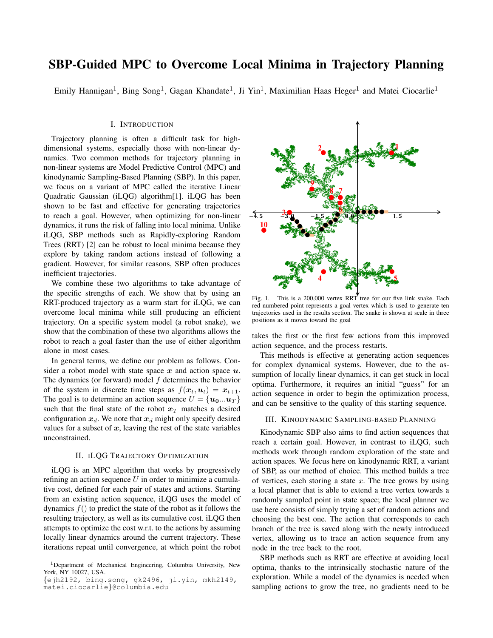# SBP-Guided MPC to Overcome Local Minima in Trajectory Planning

Emily Hannigan<sup>1</sup>, Bing Song<sup>1</sup>, Gagan Khandate<sup>1</sup>, Ji Yin<sup>1</sup>, Maximilian Haas Heger<sup>1</sup> and Matei Ciocarlie<sup>1</sup>

### I. INTRODUCTION

Trajectory planning is often a difficult task for highdimensional systems, especially those with non-linear dynamics. Two common methods for trajectory planning in non-linear systems are Model Predictive Control (MPC) and kinodynamic Sampling-Based Planning (SBP). In this paper, we focus on a variant of MPC called the iterative Linear Quadratic Gaussian (iLQG) algorithm[1]. iLQG has been shown to be fast and effective for generating trajectories to reach a goal. However, when optimizing for non-linear dynamics, it runs the risk of falling into local minima. Unlike iLQG, SBP methods such as Rapidly-exploring Random Trees (RRT) [2] can be robust to local minima because they explore by taking random actions instead of following a gradient. However, for similar reasons, SBP often produces inefficient trajectories.

We combine these two algorithms to take advantage of the specific strengths of each. We show that by using an RRT-produced trajectory as a warm start for iLQG, we can overcome local minima while still producing an efficient trajectory. On a specific system model (a robot snake), we show that the combination of these two algorithms allows the robot to reach a goal faster than the use of either algorithm alone in most cases.

In general terms, we define our problem as follows. Consider a robot model with state space  $x$  and action space  $u$ . The dynamics (or forward) model  $f$  determines the behavior of the system in discrete time steps as  $f(\mathbf{x}_t, \mathbf{u}_t) = \mathbf{x}_{t+1}$ . The goal is to determine an action sequence  $U = \{u_0...u_T\}$ such that the final state of the robot  $x_T$  matches a desired configuration  $x_d$ . We note that  $x_d$  might only specify desired values for a subset of  $x$ , leaving the rest of the state variables unconstrained.

## II. ILQG TRAJECTORY OPTIMIZATION

iLQG is an MPC algorithm that works by progressively refining an action sequence  $U$  in order to minimize a cumulative cost, defined for each pair of states and actions. Starting from an existing action sequence, iLQG uses the model of dynamics  $f()$  to predict the state of the robot as it follows the resulting trajectory, as well as its cumulative cost. iLQG then attempts to optimize the cost w.r.t. to the actions by assuming locally linear dynamics around the current trajectory. These iterations repeat until convergence, at which point the robot



Fig. 1. This is a 200,000 vertex RRT tree for our five link snake. Each red numbered point represents a goal vertex which is used to generate ten trajectories used in the results section. The snake is shown at scale in three positions as it moves toward the goal

takes the first or the first few actions from this improved action sequence, and the process restarts.

This methods is effective at generating action sequences for complex dynamical systems. However, due to the assumption of locally linear dynamics, it can get stuck in local optima. Furthermore, it requires an initial "guess" for an action sequence in order to begin the optimization process, and can be sensitive to the quality of this starting sequence.

#### III. KINODYNAMIC SAMPLING-BASED PLANNING

Kinodynamic SBP also aims to find action sequences that reach a certain goal. However, in contrast to iLQG, such methods work through random exploration of the state and action spaces. We focus here on kinodynamic RRT, a variant of SBP, as our method of choice. This method builds a tree of vertices, each storing a state  $x$ . The tree grows by using a local planner that is able to extend a tree vertex towards a randomly sampled point in state space; the local planner we use here consists of simply trying a set of random actions and choosing the best one. The action that corresponds to each branch of the tree is saved along with the newly introduced vertex, allowing us to trace an action sequence from any node in the tree back to the root.

SBP methods such as RRT are effective at avoiding local optima, thanks to the intrinsically stochastic nature of the exploration. While a model of the dynamics is needed when sampling actions to grow the tree, no gradients need to be

<sup>1</sup>Department of Mechanical Engineering, Columbia University, New York, NY 10027, USA.

<sup>{</sup>ejh2192, bing.song, gk2496, ji.yin, mkh2149, matei.ciocarlie}@columbia.edu